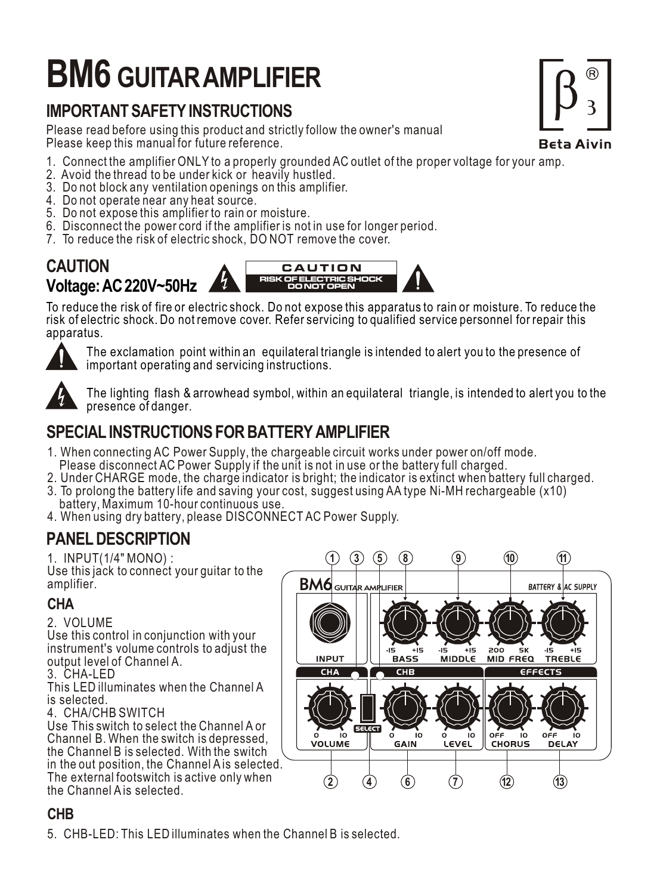# **BM6 GUITAR AMPLIFIER**

# **IMPORTANT SAFETY INSTRUCTIONS**

Please read before using this product and strictly follow the owner's manual Please keep this manual for future reference.

- 1. Connect the amplifier ONLY to a properly grounded AC outlet of the proper voltage for your amp.
- 2. Avoid the thread to be under kick or heavily hustled.
- 3. Do not block any ventilation openings on this amplifier.
- 4. Do not operate near any heat source.
- 5. Do not expose this amplifier to rain or moisture.
- 6. Disconnect the power cord if the amplifier is not in use for longer period.
- 7. To reduce the risk of electric shock, DO NOT remove the cover.



To reduce the risk of fire or electric shock. Do not expose this apparatus to rain or moisture. To reduce the risk of electric shock. Do not remove cover. Refer servicing to qualified service personnel for repair this apparatus.



The exclamation point within an equilateral triangle is intended to alert you to the presence of important operating and servicing instructions.



The lighting flash & arrowhead symbol, within an equilateral triangle, is intended to alert you to the presence of danger.

# **SPECIAL INSTRUCTIONS FOR BATTERY AMPLIFIER**

- 1. When connecting AC Power Supply, the chargeable circuit works under power on/off mode. Please disconnect AC Power Supply if the unit is not in use or the battery full charged.
- 2. Under CHARGE mode, the charge indicator is bright; the indicator is extinct when battery full charged.
- 3. To prolong the battery life and saving your cost, suggest using AA type Ni-MH rechargeable (x10) battery, Maximum 10-hour continuous use.
- 4. When using dry battery, please DISCONNECT AC Power Supply.

## **PANEL DESCRIPTION**

1. INPUT(1/4" MONO) :

Use this jack to connect your quitar to the amplifier.

## **CHA**

## 2. VOLUME

Use this control in conjunction with your instrument's volume controls to adjust the output level of Channel A.

3. CHA-LED

This LED illuminates when the Channel A is selected.

4. CHA/CHB SWITCH

Use This switch to select the Channel A or Channel B. When the switch is depressed, the Channel B is selected. With the switch in the out position, the Channel A is selected. The external footswitch is active only when the Channel A is selected.



#### $\overline{a}$ **CHB**

5. CHB-LED: This LED illuminates when the Channel B is selected.